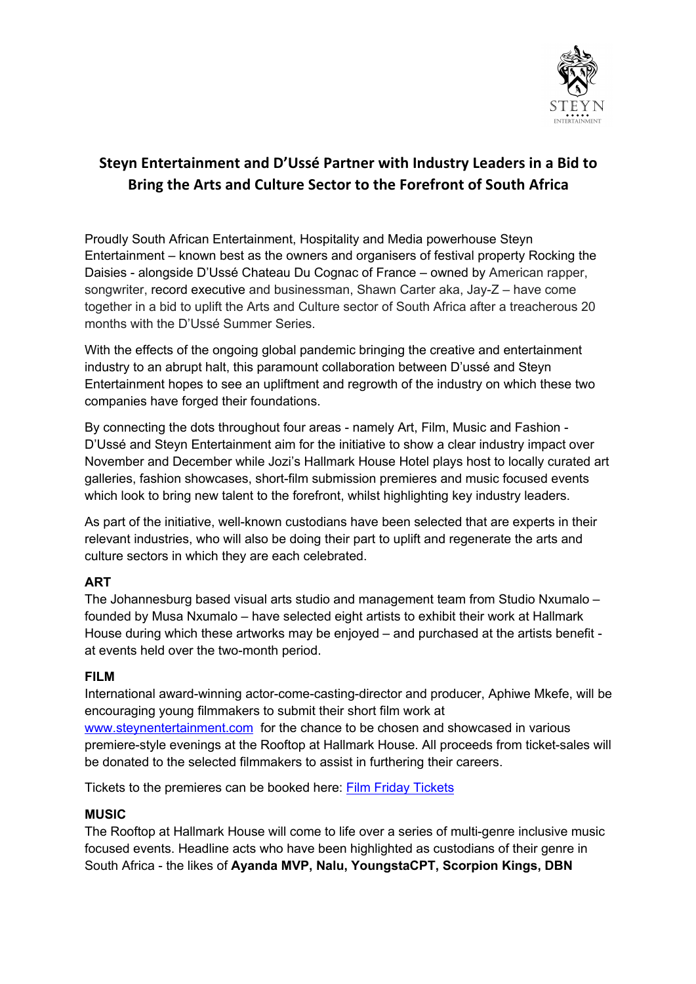

# **Steyn Entertainment and D'Ussé Partner with Industry Leaders in a Bid to Bring the Arts and Culture Sector to the Forefront of South Africa**

Proudly South African Entertainment, Hospitality and Media powerhouse Steyn Entertainment – known best as the owners and organisers of festival property Rocking the Daisies - alongside D'Ussé Chateau Du Cognac of France – owned by American rapper, songwriter, record executive and businessman, Shawn Carter aka, Jay-Z – have come together in a bid to uplift the Arts and Culture sector of South Africa after a treacherous 20 months with the D'Ussé Summer Series.

With the effects of the ongoing global pandemic bringing the creative and entertainment industry to an abrupt halt, this paramount collaboration between D'ussé and Steyn Entertainment hopes to see an upliftment and regrowth of the industry on which these two companies have forged their foundations.

By connecting the dots throughout four areas - namely Art, Film, Music and Fashion - D'Ussé and Steyn Entertainment aim for the initiative to show a clear industry impact over November and December while Jozi's Hallmark House Hotel plays host to locally curated art galleries, fashion showcases, short-film submission premieres and music focused events which look to bring new talent to the forefront, whilst highlighting key industry leaders.

As part of the initiative, well-known custodians have been selected that are experts in their relevant industries, who will also be doing their part to uplift and regenerate the arts and culture sectors in which they are each celebrated.

## **ART**

The Johannesburg based visual arts studio and management team from Studio Nxumalo – founded by Musa Nxumalo – have selected eight artists to exhibit their work at Hallmark House during which these artworks may be enjoyed – and purchased at the artists benefit at events held over the two-month period.

## **FILM**

International award-winning actor-come-casting-director and producer, Aphiwe Mkefe, will be encouraging young filmmakers to submit their short film work at

www.steynentertainment.com for the chance to be chosen and showcased in various premiere-style evenings at the Rooftop at Hallmark House. All proceeds from ticket-sales will be donated to the selected filmmakers to assist in furthering their careers.

Tickets to the premieres can be booked here: Film Friday Tickets

## **MUSIC**

The Rooftop at Hallmark House will come to life over a series of multi-genre inclusive music focused events. Headline acts who have been highlighted as custodians of their genre in South Africa - the likes of **Ayanda MVP, Nalu, YoungstaCPT, Scorpion Kings, DBN**